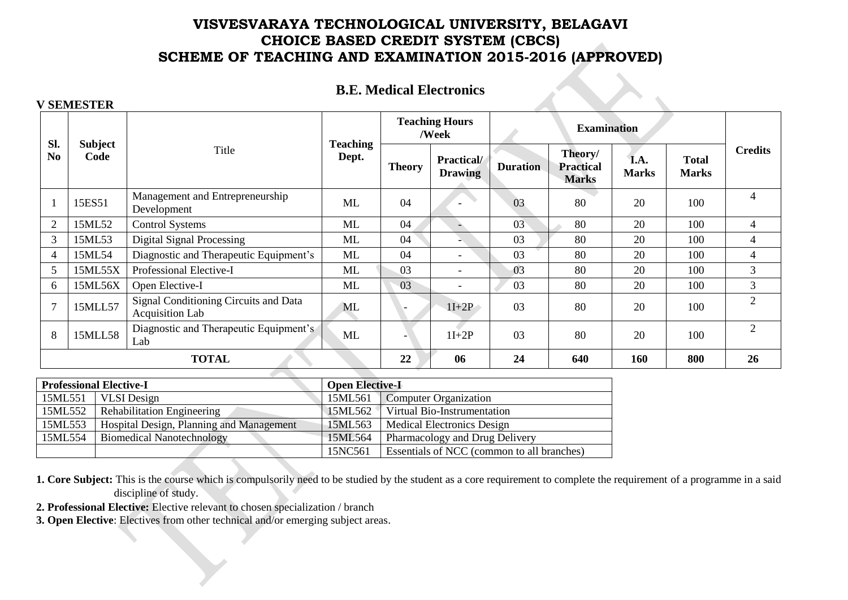### **B.E. Medical Electronics**

**Teaching Hours** 

**TOTAL 22 06 24 640 160 800 26**

**Credits**

| Sl.            |                        |                                                                 |                          |               | Teaching Hours<br>/Week              |                 | <b>Examination</b>                          |                      | <b>Total</b><br><b>Marks</b><br>100<br>100<br>100<br>100<br>100<br>100<br>100 |                |
|----------------|------------------------|-----------------------------------------------------------------|--------------------------|---------------|--------------------------------------|-----------------|---------------------------------------------|----------------------|-------------------------------------------------------------------------------|----------------|
| N <sub>0</sub> | <b>Subject</b><br>Code | Title                                                           | <b>Teaching</b><br>Dept. | <b>Theory</b> | <b>Practical</b> /<br><b>Drawing</b> | <b>Duration</b> | Theory/<br><b>Practical</b><br><b>Marks</b> | I.A.<br><b>Marks</b> |                                                                               | Cre            |
|                | 15ES51                 | Management and Entrepreneurship<br>Development                  | ML                       | 04            |                                      | 03              | 80                                          | 20                   |                                                                               | 4              |
| $\overline{2}$ | 15ML52                 | <b>Control Systems</b>                                          | ML                       | 04            |                                      | 03              | 80                                          | 20                   |                                                                               | 4              |
| 3              | 15ML53                 | Digital Signal Processing                                       | ML                       | 04            |                                      | 03              | 80                                          | 20                   |                                                                               | 4              |
| $\overline{4}$ | 15ML54                 | Diagnostic and Therapeutic Equipment's                          | ML                       | 04            |                                      | 03              | 80                                          | 20                   |                                                                               | 4              |
| 5              | 15ML55X                | Professional Elective-I                                         | ML                       | 03            |                                      | 03              | 80                                          | 20                   |                                                                               | 3              |
| 6              | 15ML56X                | Open Elective-I                                                 | ML                       | 03            |                                      | 03              | 80                                          | 20                   |                                                                               | 3              |
|                | 15MLL57                | Signal Conditioning Circuits and Data<br><b>Acquisition Lab</b> | ML                       |               | $1I+2P$                              | 03              | 80                                          | 20                   |                                                                               | $\overline{2}$ |
| 8              | 15MLL58                | Diagnostic and Therapeutic Equipment's<br>Lab                   | ML                       |               | $1I+2P$                              | 03              | 80                                          | 20                   | 100                                                                           | $\overline{2}$ |

#### **V SEMESTER**

|         | <b>Professional Elective-I</b>           | <b>Open Elective-I</b> |                                            |  |  |
|---------|------------------------------------------|------------------------|--------------------------------------------|--|--|
| 15ML551 | <b>VLSI</b> Design                       | 15ML561                | Computer Organization                      |  |  |
| 15ML552 | <b>Rehabilitation Engineering</b>        |                        | 15ML562 Virtual Bio-Instrumentation        |  |  |
| 15ML553 | Hospital Design, Planning and Management | 15ML563                | Medical Electronics Design                 |  |  |
| 15ML554 | <b>Biomedical Nanotechnology</b>         | 15ML564                | Pharmacology and Drug Delivery             |  |  |
|         |                                          | 15NC561                | Essentials of NCC (common to all branches) |  |  |

**1. Core Subject:** This is the course which is compulsorily need to be studied by the student as a core requirement to complete the requirement of a programme in a said discipline of study.

**2. Professional Elective:** Elective relevant to chosen specialization / branch

**3. Open Elective**: Electives from other technical and/or emerging subject areas.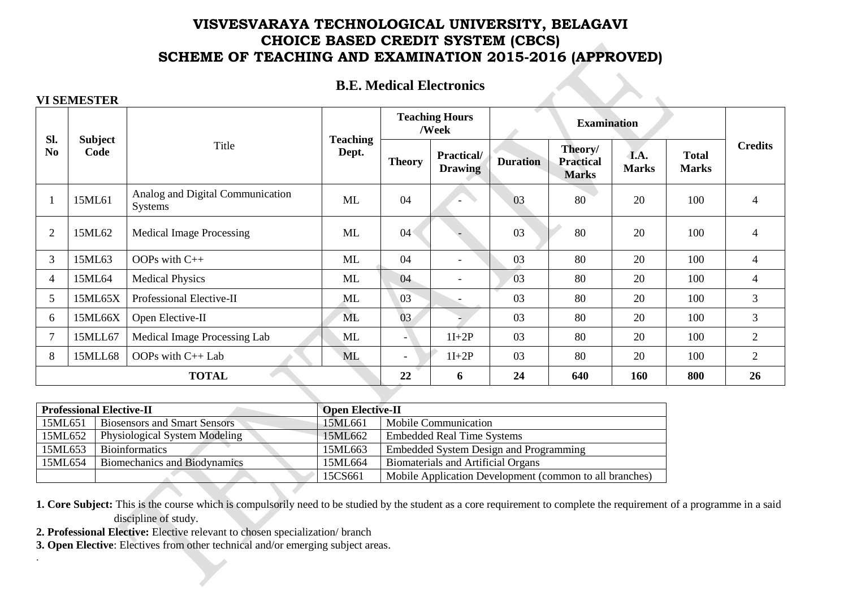#### **B.E. Medical Electronics**

#### **VI SEMESTER**

.

| SI.            |                        |                                                    |                          |                          | <b>Teaching Hours</b><br>/Week |                 | <b>Examination</b>                          |                      |                              |                |  |
|----------------|------------------------|----------------------------------------------------|--------------------------|--------------------------|--------------------------------|-----------------|---------------------------------------------|----------------------|------------------------------|----------------|--|
| N <sub>0</sub> | <b>Subject</b><br>Code | Title                                              | <b>Teaching</b><br>Dept. | <b>Theory</b>            | Practical/<br><b>Drawing</b>   | <b>Duration</b> | Theory/<br><b>Practical</b><br><b>Marks</b> | I.A.<br><b>Marks</b> | <b>Total</b><br><b>Marks</b> | <b>Credits</b> |  |
|                | 15ML61                 | Analog and Digital Communication<br><b>Systems</b> | ML                       | 04                       |                                | 03              | 80                                          | 20                   | 100                          | $\overline{4}$ |  |
| $\overline{2}$ | 15ML62                 | <b>Medical Image Processing</b>                    | ML                       | 04                       |                                | 03              | 80                                          | 20                   | 100                          | $\overline{4}$ |  |
| 3              | 15ML63                 | OOPs with $C++$                                    | ML                       | 04                       | $\overline{\phantom{0}}$       | 03              | 80                                          | 20                   | 100                          | $\overline{4}$ |  |
| $\overline{4}$ | 15ML64                 | <b>Medical Physics</b>                             | ML                       | 04                       | $\overline{\phantom{0}}$       | 03              | 80                                          | 20                   | 100                          | 4              |  |
| 5              | 15ML65X                | Professional Elective-II                           | ML                       | 03                       |                                | 03              | 80                                          | 20                   | 100                          | 3              |  |
| 6              | 15ML66X                | Open Elective-II                                   | <b>ML</b>                | 03                       |                                | 03              | 80                                          | 20                   | 100                          | 3              |  |
| $\overline{7}$ | 15MLL67                | Medical Image Processing Lab                       | ML                       | - 1                      | $1I+2P$                        | 03              | 80                                          | 20                   | 100                          | $\overline{2}$ |  |
| 8              | 15MLL68                | OOPs with C++ Lab                                  | ML                       | $\overline{\phantom{a}}$ | $1I+2P$                        | 03              | 80                                          | 20                   | 100                          | $\overline{2}$ |  |
|                | <b>TOTAL</b>           |                                                    |                          |                          | 6                              | 24              | 640                                         | 160                  | 800                          | 26             |  |

|         | <b>Professional Elective-II</b>      | <b>Open Elective-II</b> |                                                         |
|---------|--------------------------------------|-------------------------|---------------------------------------------------------|
| 15ML651 | <b>Biosensors and Smart Sensors</b>  | 15ML661                 | Mobile Communication                                    |
| 15ML652 | <b>Physiological System Modeling</b> | 15ML662                 | <b>Embedded Real Time Systems</b>                       |
| 15ML653 | <b>Bioinformatics</b>                | 15ML663                 | Embedded System Design and Programming                  |
| 15ML654 | Biomechanics and Biodynamics         | 15ML664                 | <b>Biomaterials and Artificial Organs</b>               |
|         |                                      | 15CS661                 | Mobile Application Development (common to all branches) |

**1. Core Subject:** This is the course which is compulsorily need to be studied by the student as a core requirement to complete the requirement of a programme in a said discipline of study.

- **2. Professional Elective:** Elective relevant to chosen specialization/ branch
- **3. Open Elective**: Electives from other technical and/or emerging subject areas.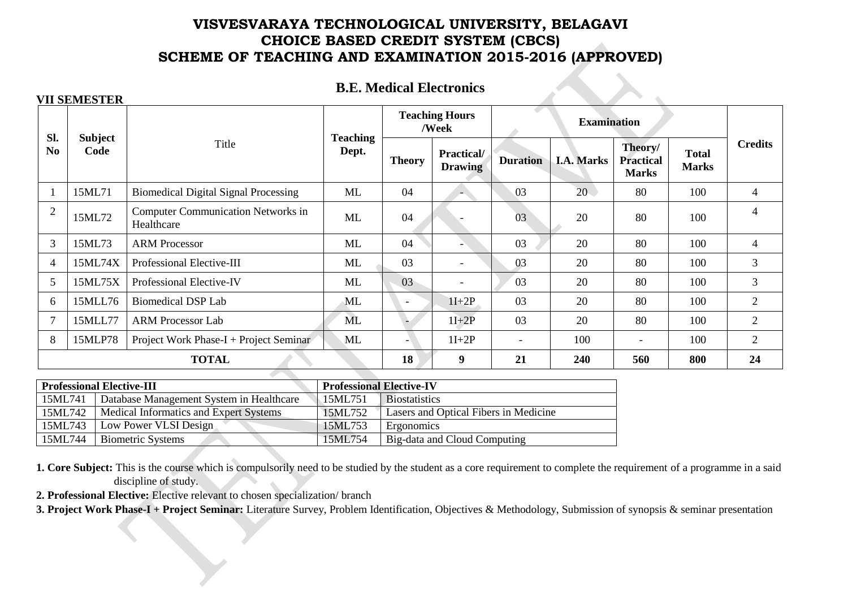# **B.E. Medical Electronics**

| SI.            |                                                                         |                                                         |                          |                          | <b>Teaching Hours</b><br>/Week                         |                          |                   | <b>Examination</b>                          |                              |                |
|----------------|-------------------------------------------------------------------------|---------------------------------------------------------|--------------------------|--------------------------|--------------------------------------------------------|--------------------------|-------------------|---------------------------------------------|------------------------------|----------------|
| N <sub>0</sub> | <b>Subject</b><br>Code                                                  | Title                                                   | <b>Teaching</b><br>Dept. | <b>Theory</b>            | <b>Practical/</b><br><b>Duration</b><br><b>Drawing</b> |                          | <b>I.A. Marks</b> | Theory/<br><b>Practical</b><br><b>Marks</b> | <b>Total</b><br><b>Marks</b> | <b>Credits</b> |
|                | 15ML71                                                                  | <b>Biomedical Digital Signal Processing</b>             | ML                       | 04                       |                                                        | 03                       | 20                | 80                                          | 100                          | 4              |
| $\overline{2}$ | 15ML72                                                                  | <b>Computer Communication Networks in</b><br>Healthcare | ML                       | 04                       |                                                        | 03                       | 20                | 80                                          | 100                          | 4              |
| 3              | 15ML73                                                                  | <b>ARM Processor</b>                                    | ML                       | 04                       |                                                        | 03                       | 20                | 80                                          | 100                          | $\overline{4}$ |
| 4              | 15ML74X                                                                 | Professional Elective-III                               | ML                       | 03                       | $\overline{\phantom{a}}$                               | 03                       | 20                | 80                                          | 100                          | 3              |
| 5              | 15ML75X                                                                 | Professional Elective-IV                                | ML                       | 03                       | $\overline{\phantom{a}}$                               | 03                       | 20                | 80                                          | 100                          | 3              |
| 6              | 15MLL76                                                                 | <b>Biomedical DSP Lab</b>                               | ML                       | $\overline{\phantom{a}}$ | $1I+2P$                                                | 03                       | 20                | 80                                          | 100                          | $\overline{2}$ |
| $\overline{7}$ | 15MLL77                                                                 | <b>ARM Processor Lab</b>                                | ML                       | <b>.</b>                 | $1I+2P$                                                | 03                       | 20                | 80                                          | 100                          | $\overline{2}$ |
| 8              | 15MLP78                                                                 | Project Work Phase-I + Project Seminar                  | ML                       | $\overline{\phantom{a}}$ | $1I+2P$                                                | $\overline{\phantom{a}}$ | 100               | $\overline{\phantom{a}}$                    | 100                          | $\overline{2}$ |
|                | 18<br>$\boldsymbol{9}$<br>24<br><b>TOTAL</b><br>21<br>240<br>800<br>560 |                                                         |                          |                          |                                                        |                          |                   |                                             |                              |                |

|         | <b>Professional Elective-III</b>         | <b>Professional Elective-IV</b> |                                       |  |  |  |
|---------|------------------------------------------|---------------------------------|---------------------------------------|--|--|--|
| 15ML741 | Database Management System in Healthcare | 15ML751                         | <b>Biostatistics</b>                  |  |  |  |
| 15ML742 | Medical Informatics and Expert Systems   | 15ML752                         | Lasers and Optical Fibers in Medicine |  |  |  |
| 15ML743 | Low Power VLSI Design                    | 15ML753                         | Ergonomics                            |  |  |  |
| 15ML744 | <b>Biometric Systems</b>                 | 15ML754                         | Big-data and Cloud Computing          |  |  |  |

**1. Core Subject:** This is the course which is compulsorily need to be studied by the student as a core requirement to complete the requirement of a programme in a said discipline of study.

**2. Professional Elective:** Elective relevant to chosen specialization/ branch

**VII SEMESTER**

**3. Project Work Phase-I + Project Seminar:** Literature Survey, Problem Identification, Objectives & Methodology, Submission of synopsis & seminar presentation